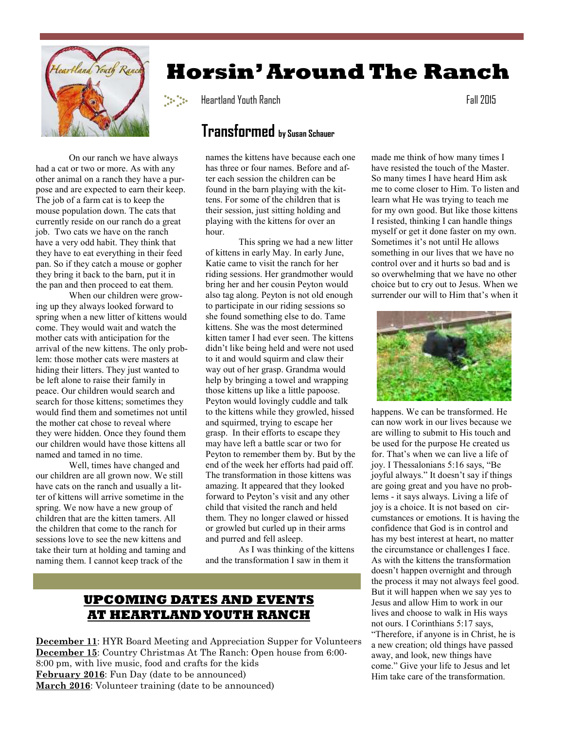

# **Horsin' Around The Ranch**

Heartland Youth Ranch Fall 2015

## **Transformed by Susan Schauer**

 On our ranch we have always had a cat or two or more. As with any other animal on a ranch they have a purpose and are expected to earn their keep. The job of a farm cat is to keep the mouse population down. The cats that currently reside on our ranch do a great job. Two cats we have on the ranch have a very odd habit. They think that they have to eat everything in their feed pan. So if they catch a mouse or gopher they bring it back to the barn, put it in the pan and then proceed to eat them.

 When our children were growing up they always looked forward to spring when a new litter of kittens would come. They would wait and watch the mother cats with anticipation for the arrival of the new kittens. The only problem: those mother cats were masters at hiding their litters. They just wanted to be left alone to raise their family in peace. Our children would search and search for those kittens; sometimes they would find them and sometimes not until the mother cat chose to reveal where they were hidden. Once they found them our children would have those kittens all named and tamed in no time.

 Well, times have changed and our children are all grown now. We still have cats on the ranch and usually a litter of kittens will arrive sometime in the spring. We now have a new group of children that are the kitten tamers. All the children that come to the ranch for sessions love to see the new kittens and take their turn at holding and taming and naming them. I cannot keep track of the

names the kittens have because each one has three or four names. Before and after each session the children can be found in the barn playing with the kittens. For some of the children that is their session, just sitting holding and playing with the kittens for over an hour.

 This spring we had a new litter of kittens in early May. In early June, Katie came to visit the ranch for her riding sessions. Her grandmother would bring her and her cousin Peyton would also tag along. Peyton is not old enough to participate in our riding sessions so she found something else to do. Tame kittens. She was the most determined kitten tamer I had ever seen. The kittens didn't like being held and were not used to it and would squirm and claw their way out of her grasp. Grandma would help by bringing a towel and wrapping those kittens up like a little papoose. Peyton would lovingly cuddle and talk to the kittens while they growled, hissed and squirmed, trying to escape her grasp. In their efforts to escape they may have left a battle scar or two for Peyton to remember them by. But by the end of the week her efforts had paid off. The transformation in those kittens was amazing. It appeared that they looked forward to Peyton's visit and any other child that visited the ranch and held them. They no longer clawed or hissed or growled but curled up in their arms and purred and fell asleep.

 As I was thinking of the kittens and the transformation I saw in them it

#### **UPCOMING DATES AND EVENTS AT HEARTLAND YOUTH RANCH**

**December 11**: HYR Board Meeting and Appreciation Supper for Volunteers **December 15**: Country Christmas At The Ranch: Open house from 6:00- 8:00 pm, with live music, food and crafts for the kids **February 2016**: Fun Day (date to be announced) **March 2016**: Volunteer training (date to be announced)

made me think of how many times I have resisted the touch of the Master. So many times I have heard Him ask me to come closer to Him. To listen and learn what He was trying to teach me for my own good. But like those kittens I resisted, thinking I can handle things myself or get it done faster on my own. Sometimes it's not until He allows something in our lives that we have no control over and it hurts so bad and is so overwhelming that we have no other choice but to cry out to Jesus. When we surrender our will to Him that's when it



happens. We can be transformed. He can now work in our lives because we are willing to submit to His touch and be used for the purpose He created us for. That's when we can live a life of joy. I Thessalonians 5:16 says, "Be joyful always." It doesn't say if things are going great and you have no problems - it says always. Living a life of joy is a choice. It is not based on circumstances or emotions. It is having the confidence that God is in control and has my best interest at heart, no matter the circumstance or challenges I face. As with the kittens the transformation doesn't happen overnight and through the process it may not always feel good. But it will happen when we say yes to Jesus and allow Him to work in our lives and choose to walk in His ways not ours. I Corinthians 5:17 says, "Therefore, if anyone is in Christ, he is a new creation; old things have passed away, and look, new things have come." Give your life to Jesus and let Him take care of the transformation.